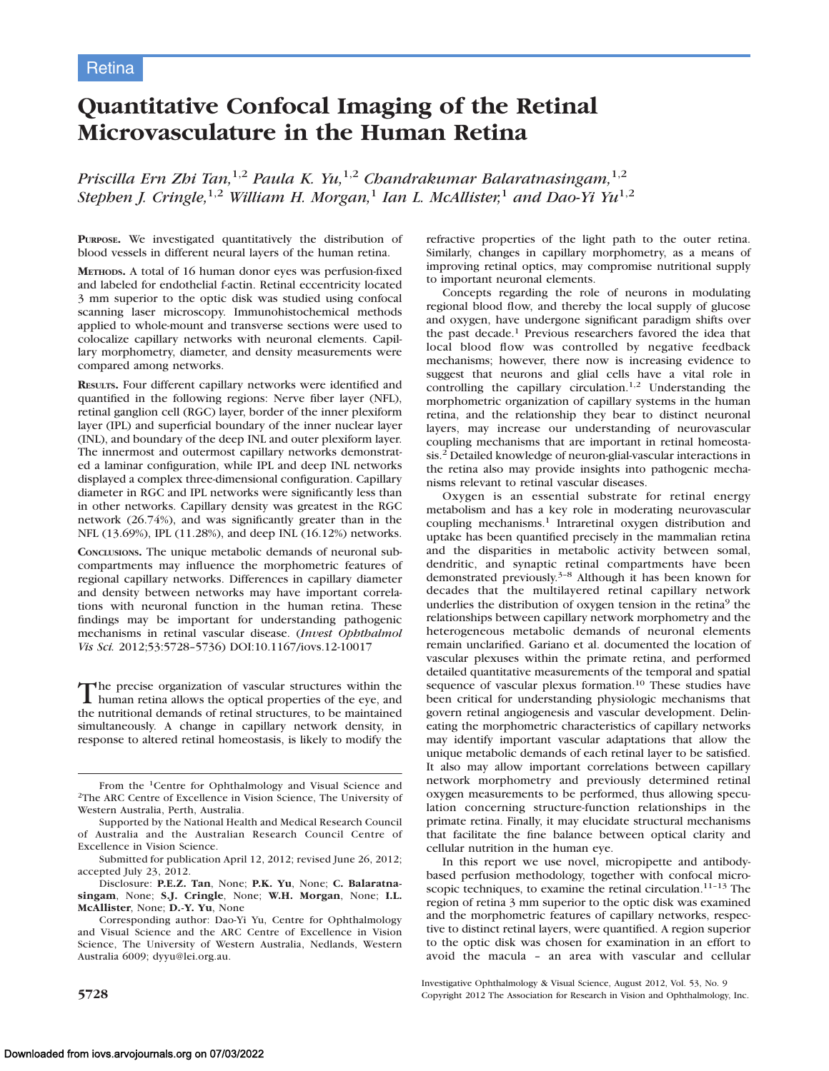# Quantitative Confocal Imaging of the Retinal Microvasculature in the Human Retina

Priscilla Ern Zbi Tan,<sup>1,2</sup> Paula K. Yu,<sup>1,2</sup> Chandrakumar Balaratnasingam,<sup>1,2</sup> Stephen J. Cringle,<sup>1,2</sup> William H. Morgan,<sup>1</sup> Ian L. McAllister,<sup>1</sup> and Dao-Yi Yu<sup>1,2</sup>

PURPOSE. We investigated quantitatively the distribution of blood vessels in different neural layers of the human retina.

METHODS. A total of 16 human donor eyes was perfusion-fixed and labeled for endothelial f-actin. Retinal eccentricity located 3 mm superior to the optic disk was studied using confocal scanning laser microscopy. Immunohistochemical methods applied to whole-mount and transverse sections were used to colocalize capillary networks with neuronal elements. Capillary morphometry, diameter, and density measurements were compared among networks.

RESULTS. Four different capillary networks were identified and quantified in the following regions: Nerve fiber layer (NFL), retinal ganglion cell (RGC) layer, border of the inner plexiform layer (IPL) and superficial boundary of the inner nuclear layer (INL), and boundary of the deep INL and outer plexiform layer. The innermost and outermost capillary networks demonstrated a laminar configuration, while IPL and deep INL networks displayed a complex three-dimensional configuration. Capillary diameter in RGC and IPL networks were significantly less than in other networks. Capillary density was greatest in the RGC network (26.74%), and was significantly greater than in the NFL (13.69%), IPL (11.28%), and deep INL (16.12%) networks.

CONCLUSIONS. The unique metabolic demands of neuronal subcompartments may influence the morphometric features of regional capillary networks. Differences in capillary diameter and density between networks may have important correlations with neuronal function in the human retina. These findings may be important for understanding pathogenic mechanisms in retinal vascular disease. (Invest Ophthalmol Vis Sci. 2012;53:5728–5736) DOI:10.1167/iovs.12-10017

The precise organization of vascular structures within the human retina allows the optical properties of the eye, and the nutritional demands of retinal structures, to be maintained simultaneously. A change in capillary network density, in response to altered retinal homeostasis, is likely to modify the

From the 1Centre for Ophthalmology and Visual Science and 2The ARC Centre of Excellence in Vision Science, The University of Western Australia, Perth, Australia.

Disclosure: P.E.Z. Tan, None; P.K. Yu, None; C. Balaratnasingam, None; S.J. Cringle, None; W.H. Morgan, None; I.L. McAllister, None; D.-Y. Yu, None

Corresponding author: Dao-Yi Yu, Centre for Ophthalmology and Visual Science and the ARC Centre of Excellence in Vision Science, The University of Western Australia, Nedlands, Western Australia 6009; dyyu@lei.org.au.

refractive properties of the light path to the outer retina. Similarly, changes in capillary morphometry, as a means of improving retinal optics, may compromise nutritional supply to important neuronal elements.

Concepts regarding the role of neurons in modulating regional blood flow, and thereby the local supply of glucose and oxygen, have undergone significant paradigm shifts over the past decade.<sup>1</sup> Previous researchers favored the idea that local blood flow was controlled by negative feedback mechanisms; however, there now is increasing evidence to suggest that neurons and glial cells have a vital role in controlling the capillary circulation.<sup>1,2</sup> Understanding the morphometric organization of capillary systems in the human retina, and the relationship they bear to distinct neuronal layers, may increase our understanding of neurovascular coupling mechanisms that are important in retinal homeostasis.2 Detailed knowledge of neuron-glial-vascular interactions in the retina also may provide insights into pathogenic mechanisms relevant to retinal vascular diseases.

Oxygen is an essential substrate for retinal energy metabolism and has a key role in moderating neurovascular coupling mechanisms.<sup>1</sup> Intraretinal oxygen distribution and uptake has been quantified precisely in the mammalian retina and the disparities in metabolic activity between somal, dendritic, and synaptic retinal compartments have been demonstrated previously.3–8 Although it has been known for decades that the multilayered retinal capillary network underlies the distribution of oxygen tension in the retina<sup>9</sup> the relationships between capillary network morphometry and the heterogeneous metabolic demands of neuronal elements remain unclarified. Gariano et al. documented the location of vascular plexuses within the primate retina, and performed detailed quantitative measurements of the temporal and spatial sequence of vascular plexus formation.<sup>10</sup> These studies have been critical for understanding physiologic mechanisms that govern retinal angiogenesis and vascular development. Delineating the morphometric characteristics of capillary networks may identify important vascular adaptations that allow the unique metabolic demands of each retinal layer to be satisfied. It also may allow important correlations between capillary network morphometry and previously determined retinal oxygen measurements to be performed, thus allowing speculation concerning structure-function relationships in the primate retina. Finally, it may elucidate structural mechanisms that facilitate the fine balance between optical clarity and cellular nutrition in the human eye.

In this report we use novel, micropipette and antibodybased perfusion methodology, together with confocal microscopic techniques, to examine the retinal circulation.<sup>11–13</sup> The region of retina 3 mm superior to the optic disk was examined and the morphometric features of capillary networks, respective to distinct retinal layers, were quantified. A region superior to the optic disk was chosen for examination in an effort to avoid the macula – an area with vascular and cellular

Investigative Ophthalmology & Visual Science, August 2012, Vol. 53, No. 9 5728 Copyright 2012 The Association for Research in Vision and Ophthalmology, Inc.

Supported by the National Health and Medical Research Council of Australia and the Australian Research Council Centre of Excellence in Vision Science.

Submitted for publication April 12, 2012; revised June 26, 2012; accepted July 23, 2012.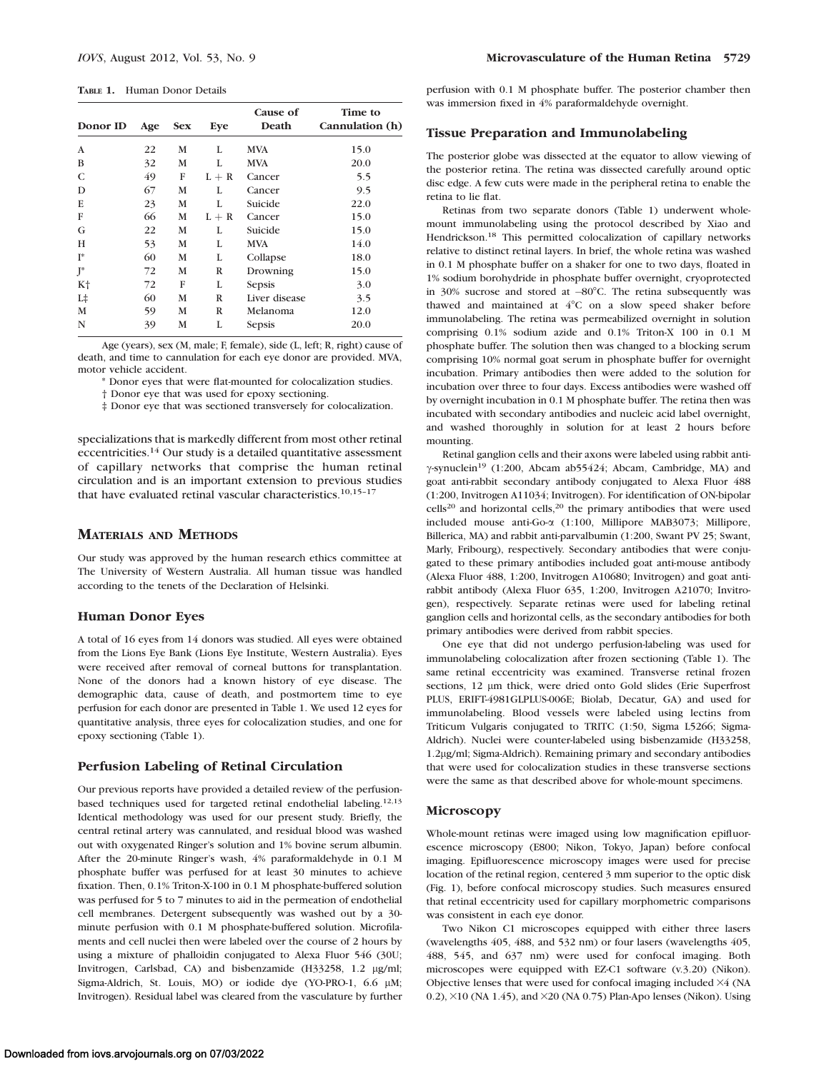TABLE 1. Human Donor Details

| Donor ID       | Age | <b>Sex</b> | Eye     | Cause of<br>Death | Time to<br>Cannulation (h) |  |
|----------------|-----|------------|---------|-------------------|----------------------------|--|
| A              | 22  | М          | L       | <b>MVA</b>        | 15.0                       |  |
| B              | 32  | М          | L       | <b>MVA</b>        | 20.0                       |  |
| C              | 49  | F          | $L + R$ | Cancer            | 5.5                        |  |
| D              | 67  | М          | L       | Cancer            | 9.5                        |  |
| E              | 23  | M          | L       | Suicide           | 22.0                       |  |
| F              | 66  | M          | $L + R$ | Cancer            | 15.0                       |  |
| G              | 22  | М          | L       | Suicide           | 15.0                       |  |
| H              | 53  | М          | L       | <b>MVA</b>        | 14.0                       |  |
| $I^*$          | 60  | M          | L       | Collapse          | 18.0                       |  |
| $J^*$          | 72  | M          | R       | Drowning          | 15.0                       |  |
| K <sup>+</sup> | 72  | F          | L       | Sepsis            | 3.0                        |  |
| $L+$           | 60  | M          | R       | Liver disease     | 3.5                        |  |
| M              | 59  | M          | R       | Melanoma          | 12.0                       |  |
| N              | 39  | М          | L       | Sepsis            | 20.0                       |  |
|                |     |            |         |                   |                            |  |

Age (years), sex (M, male; F, female), side (L, left; R, right) cause of death, and time to cannulation for each eye donor are provided. MVA, motor vehicle accident.

\* Donor eyes that were flat-mounted for colocalization studies.

† Donor eye that was used for epoxy sectioning.

‡ Donor eye that was sectioned transversely for colocalization.

specializations that is markedly different from most other retinal eccentricities.14 Our study is a detailed quantitative assessment of capillary networks that comprise the human retinal circulation and is an important extension to previous studies that have evaluated retinal vascular characteristics.10,15–17

# MATERIALS AND METHODS

Our study was approved by the human research ethics committee at The University of Western Australia. All human tissue was handled according to the tenets of the Declaration of Helsinki.

#### Human Donor Eyes

A total of 16 eyes from 14 donors was studied. All eyes were obtained from the Lions Eye Bank (Lions Eye Institute, Western Australia). Eyes were received after removal of corneal buttons for transplantation. None of the donors had a known history of eye disease. The demographic data, cause of death, and postmortem time to eye perfusion for each donor are presented in Table 1. We used 12 eyes for quantitative analysis, three eyes for colocalization studies, and one for epoxy sectioning (Table 1).

# Perfusion Labeling of Retinal Circulation

Our previous reports have provided a detailed review of the perfusionbased techniques used for targeted retinal endothelial labeling.12,13 Identical methodology was used for our present study. Briefly, the central retinal artery was cannulated, and residual blood was washed out with oxygenated Ringer's solution and 1% bovine serum albumin. After the 20-minute Ringer's wash, 4% paraformaldehyde in 0.1 M phosphate buffer was perfused for at least 30 minutes to achieve fixation. Then, 0.1% Triton-X-100 in 0.1 M phosphate-buffered solution was perfused for 5 to 7 minutes to aid in the permeation of endothelial cell membranes. Detergent subsequently was washed out by a 30 minute perfusion with 0.1 M phosphate-buffered solution. Microfilaments and cell nuclei then were labeled over the course of 2 hours by using a mixture of phalloidin conjugated to Alexa Fluor 546 (30U; Invitrogen, Carlsbad, CA) and bisbenzamide (H33258, 1.2 µg/ml; Sigma-Aldrich, St. Louis, MO) or iodide dye (YO-PRO-1, 6.6 µM; Invitrogen). Residual label was cleared from the vasculature by further

#### Tissue Preparation and Immunolabeling

The posterior globe was dissected at the equator to allow viewing of the posterior retina. The retina was dissected carefully around optic disc edge. A few cuts were made in the peripheral retina to enable the retina to lie flat.

Retinas from two separate donors (Table 1) underwent wholemount immunolabeling using the protocol described by Xiao and Hendrickson.<sup>18</sup> This permitted colocalization of capillary networks relative to distinct retinal layers. In brief, the whole retina was washed in 0.1 M phosphate buffer on a shaker for one to two days, floated in 1% sodium borohydride in phosphate buffer overnight, cryoprotected in  $30\%$  sucrose and stored at  $-80^{\circ}$ C. The retina subsequently was thawed and maintained at 4°C on a slow speed shaker before immunolabeling. The retina was permeabilized overnight in solution comprising 0.1% sodium azide and 0.1% Triton-X 100 in 0.1 M phosphate buffer. The solution then was changed to a blocking serum comprising 10% normal goat serum in phosphate buffer for overnight incubation. Primary antibodies then were added to the solution for incubation over three to four days. Excess antibodies were washed off by overnight incubation in 0.1 M phosphate buffer. The retina then was incubated with secondary antibodies and nucleic acid label overnight, and washed thoroughly in solution for at least 2 hours before mounting.

Retinal ganglion cells and their axons were labeled using rabbit anti- $\gamma$ -synuclein<sup>19</sup> (1:200, Abcam ab55424; Abcam, Cambridge, MA) and goat anti-rabbit secondary antibody conjugated to Alexa Fluor 488 (1:200, Invitrogen A11034; Invitrogen). For identification of ON-bipolar  $cells<sup>20</sup>$  and horizontal cells,<sup>20</sup> the primary antibodies that were used included mouse anti-Go-a (1:100, Millipore MAB3073; Millipore, Billerica, MA) and rabbit anti-parvalbumin (1:200, Swant PV 25; Swant, Marly, Fribourg), respectively. Secondary antibodies that were conjugated to these primary antibodies included goat anti-mouse antibody (Alexa Fluor 488, 1:200, Invitrogen A10680; Invitrogen) and goat antirabbit antibody (Alexa Fluor 635, 1:200, Invitrogen A21070; Invitrogen), respectively. Separate retinas were used for labeling retinal ganglion cells and horizontal cells, as the secondary antibodies for both primary antibodies were derived from rabbit species.

One eye that did not undergo perfusion-labeling was used for immunolabeling colocalization after frozen sectioning (Table 1). The same retinal eccentricity was examined. Transverse retinal frozen sections, 12 µm thick, were dried onto Gold slides (Erie Superfrost PLUS, ERIFT-4981GLPLUS-006E; Biolab, Decatur, GA) and used for immunolabeling. Blood vessels were labeled using lectins from Triticum Vulgaris conjugated to TRITC (1:50, Sigma L5266; Sigma-Aldrich). Nuclei were counter-labeled using bisbenzamide (H33258, 1.2lg/ml; Sigma-Aldrich). Remaining primary and secondary antibodies that were used for colocalization studies in these transverse sections were the same as that described above for whole-mount specimens.

#### Microscopy

Whole-mount retinas were imaged using low magnification epifluorescence microscopy (E800; Nikon, Tokyo, Japan) before confocal imaging. Epifluorescence microscopy images were used for precise location of the retinal region, centered 3 mm superior to the optic disk (Fig. 1), before confocal microscopy studies. Such measures ensured that retinal eccentricity used for capillary morphometric comparisons was consistent in each eye donor.

Two Nikon C1 microscopes equipped with either three lasers (wavelengths 405, 488, and 532 nm) or four lasers (wavelengths 405, 488, 545, and 637 nm) were used for confocal imaging. Both microscopes were equipped with EZ-C1 software (v.3.20) (Nikon). Objective lenses that were used for confocal imaging included 34 (NA 0.2),  $\times$ 10 (NA 1.45), and  $\times$ 20 (NA 0.75) Plan-Apo lenses (Nikon). Using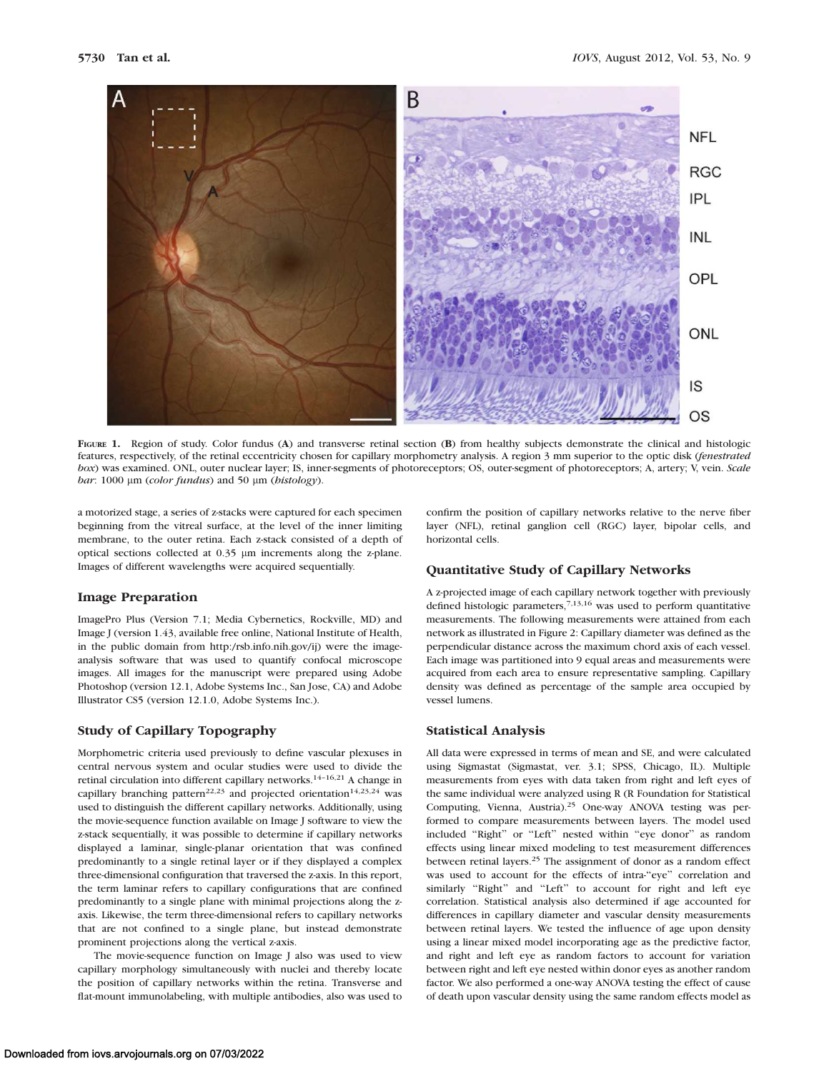

FIGURE 1. Region of study. Color fundus (A) and transverse retinal section (B) from healthy subjects demonstrate the clinical and histologic features, respectively, of the retinal eccentricity chosen for capillary morphometry analysis. A region 3 mm superior to the optic disk (fenestrated box) was examined. ONL, outer nuclear layer; IS, inner-segments of photoreceptors; OS, outer-segment of photoreceptors; A, artery; V, vein. Scale bar: 1000  $\mu$ m (color fundus) and 50  $\mu$ m (histology).

a motorized stage, a series of z-stacks were captured for each specimen beginning from the vitreal surface, at the level of the inner limiting membrane, to the outer retina. Each z-stack consisted of a depth of optical sections collected at  $0.35 \mu m$  increments along the z-plane. Images of different wavelengths were acquired sequentially.

#### Image Preparation

ImagePro Plus (Version 7.1; Media Cybernetics, Rockville, MD) and Image J (version 1.43, available free online, National Institute of Health, in the public domain from http:/rsb.info.nih.gov/ij) were the imageanalysis software that was used to quantify confocal microscope images. All images for the manuscript were prepared using Adobe Photoshop (version 12.1, Adobe Systems Inc., San Jose, CA) and Adobe Illustrator CS5 (version 12.1.0, Adobe Systems Inc.).

# Study of Capillary Topography

Morphometric criteria used previously to define vascular plexuses in central nervous system and ocular studies were used to divide the retinal circulation into different capillary networks.14–16,21 A change in capillary branching pattern<sup>22,23</sup> and projected orientation<sup>14,23,24</sup> was used to distinguish the different capillary networks. Additionally, using the movie-sequence function available on Image J software to view the z-stack sequentially, it was possible to determine if capillary networks displayed a laminar, single-planar orientation that was confined predominantly to a single retinal layer or if they displayed a complex three-dimensional configuration that traversed the z-axis. In this report, the term laminar refers to capillary configurations that are confined predominantly to a single plane with minimal projections along the zaxis. Likewise, the term three-dimensional refers to capillary networks that are not confined to a single plane, but instead demonstrate prominent projections along the vertical z-axis.

The movie-sequence function on Image J also was used to view capillary morphology simultaneously with nuclei and thereby locate the position of capillary networks within the retina. Transverse and flat-mount immunolabeling, with multiple antibodies, also was used to

confirm the position of capillary networks relative to the nerve fiber layer (NFL), retinal ganglion cell (RGC) layer, bipolar cells, and horizontal cells.

### Quantitative Study of Capillary Networks

A z-projected image of each capillary network together with previously defined histologic parameters,  $7,13,16$  was used to perform quantitative measurements. The following measurements were attained from each network as illustrated in Figure 2: Capillary diameter was defined as the perpendicular distance across the maximum chord axis of each vessel. Each image was partitioned into 9 equal areas and measurements were acquired from each area to ensure representative sampling. Capillary density was defined as percentage of the sample area occupied by vessel lumens.

#### Statistical Analysis

All data were expressed in terms of mean and SE, and were calculated using Sigmastat (Sigmastat, ver. 3.1; SPSS, Chicago, IL). Multiple measurements from eyes with data taken from right and left eyes of the same individual were analyzed using R (R Foundation for Statistical Computing, Vienna, Austria).25 One-way ANOVA testing was performed to compare measurements between layers. The model used included ''Right'' or ''Left'' nested within ''eye donor'' as random effects using linear mixed modeling to test measurement differences between retinal layers.25 The assignment of donor as a random effect was used to account for the effects of intra-''eye'' correlation and similarly "Right" and "Left" to account for right and left eye correlation. Statistical analysis also determined if age accounted for differences in capillary diameter and vascular density measurements between retinal layers. We tested the influence of age upon density using a linear mixed model incorporating age as the predictive factor, and right and left eye as random factors to account for variation between right and left eye nested within donor eyes as another random factor. We also performed a one-way ANOVA testing the effect of cause of death upon vascular density using the same random effects model as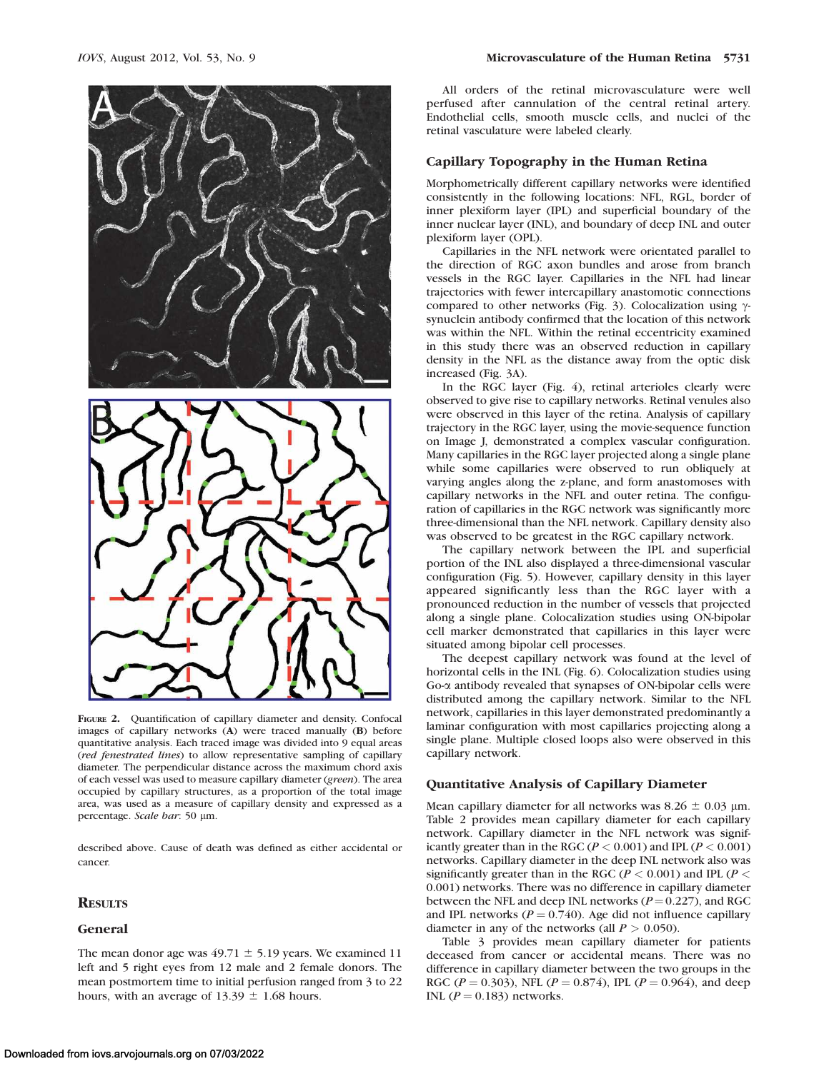



FIGURE 2. Quantification of capillary diameter and density. Confocal images of capillary networks (A) were traced manually (B) before quantitative analysis. Each traced image was divided into 9 equal areas (red fenestrated lines) to allow representative sampling of capillary diameter. The perpendicular distance across the maximum chord axis of each vessel was used to measure capillary diameter (green). The area occupied by capillary structures, as a proportion of the total image area, was used as a measure of capillary density and expressed as a percentage. Scale bar: 50 µm.

described above. Cause of death was defined as either accidental or cancer.

# **RESULTS**

## General

The mean donor age was  $49.71 \pm 5.19$  years. We examined 11 left and 5 right eyes from 12 male and 2 female donors. The mean postmortem time to initial perfusion ranged from 3 to 22 hours, with an average of  $13.39 \pm 1.68$  hours.

All orders of the retinal microvasculature were well perfused after cannulation of the central retinal artery. Endothelial cells, smooth muscle cells, and nuclei of the retinal vasculature were labeled clearly.

## Capillary Topography in the Human Retina

Morphometrically different capillary networks were identified consistently in the following locations: NFL, RGL, border of inner plexiform layer (IPL) and superficial boundary of the inner nuclear layer (INL), and boundary of deep INL and outer plexiform layer (OPL).

Capillaries in the NFL network were orientated parallel to the direction of RGC axon bundles and arose from branch vessels in the RGC layer. Capillaries in the NFL had linear trajectories with fewer intercapillary anastomotic connections compared to other networks (Fig. 3). Colocalization using  $\gamma$ synuclein antibody confirmed that the location of this network was within the NFL. Within the retinal eccentricity examined in this study there was an observed reduction in capillary density in the NFL as the distance away from the optic disk increased (Fig. 3A).

In the RGC layer (Fig. 4), retinal arterioles clearly were observed to give rise to capillary networks. Retinal venules also were observed in this layer of the retina. Analysis of capillary trajectory in the RGC layer, using the movie-sequence function on Image J, demonstrated a complex vascular configuration. Many capillaries in the RGC layer projected along a single plane while some capillaries were observed to run obliquely at varying angles along the z-plane, and form anastomoses with capillary networks in the NFL and outer retina. The configuration of capillaries in the RGC network was significantly more three-dimensional than the NFL network. Capillary density also was observed to be greatest in the RGC capillary network.

The capillary network between the IPL and superficial portion of the INL also displayed a three-dimensional vascular configuration (Fig. 5). However, capillary density in this layer appeared significantly less than the RGC layer with a pronounced reduction in the number of vessels that projected along a single plane. Colocalization studies using ON-bipolar cell marker demonstrated that capillaries in this layer were situated among bipolar cell processes.

The deepest capillary network was found at the level of horizontal cells in the INL (Fig. 6). Colocalization studies using Go-a antibody revealed that synapses of ON-bipolar cells were distributed among the capillary network. Similar to the NFL network, capillaries in this layer demonstrated predominantly a laminar configuration with most capillaries projecting along a single plane. Multiple closed loops also were observed in this capillary network.

# Quantitative Analysis of Capillary Diameter

Mean capillary diameter for all networks was  $8.26 \pm 0.03$  µm. Table 2 provides mean capillary diameter for each capillary network. Capillary diameter in the NFL network was significantly greater than in the RGC ( $P < 0.001$ ) and IPL ( $P < 0.001$ ) networks. Capillary diameter in the deep INL network also was significantly greater than in the RGC ( $P < 0.001$ ) and IPL ( $P <$ 0.001) networks. There was no difference in capillary diameter between the NFL and deep INL networks ( $P = 0.227$ ), and RGC and IPL networks ( $P = 0.740$ ). Age did not influence capillary diameter in any of the networks (all  $P > 0.050$ ).

Table 3 provides mean capillary diameter for patients deceased from cancer or accidental means. There was no difference in capillary diameter between the two groups in the RGC ( $P = 0.303$ ), NFL ( $P = 0.874$ ), IPL ( $P = 0.964$ ), and deep INL ( $P = 0.183$ ) networks.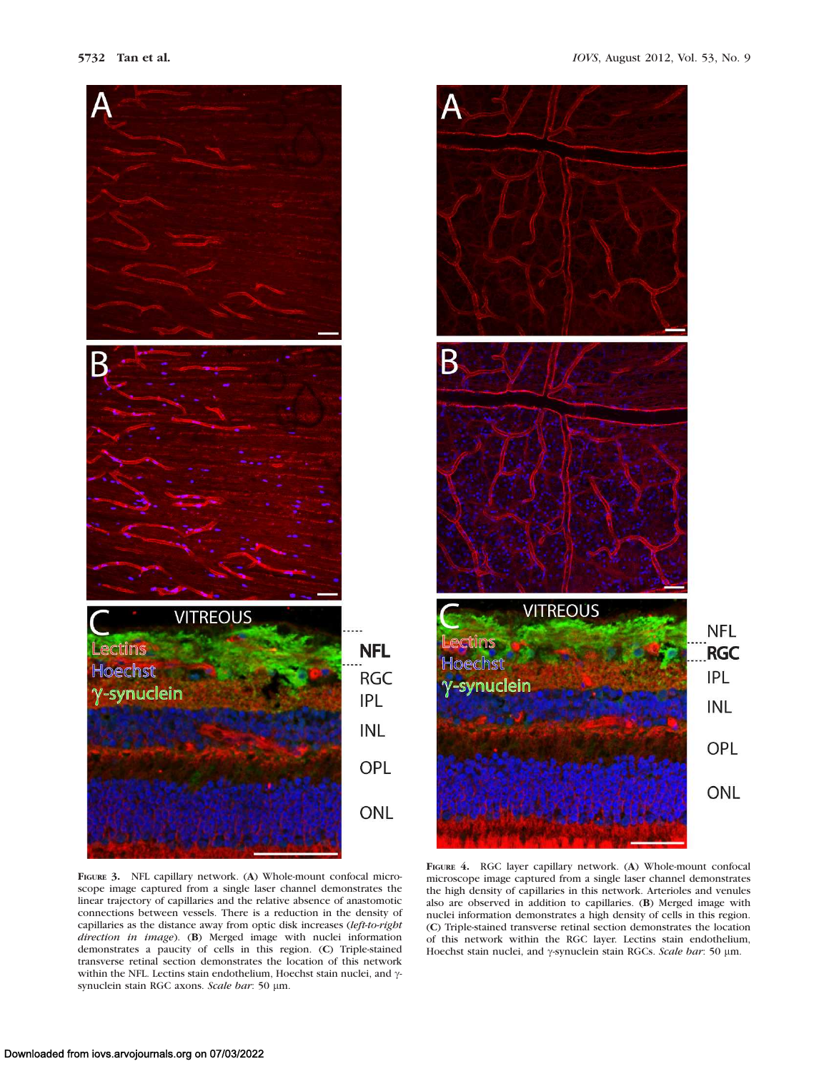![](_page_4_Picture_1.jpeg)

![](_page_4_Figure_3.jpeg)

FIGURE 3. NFL capillary network. (A) Whole-mount confocal microscope image captured from a single laser channel demonstrates the linear trajectory of capillaries and the relative absence of anastomotic connections between vessels. There is a reduction in the density of capillaries as the distance away from optic disk increases (left-to-right direction in image). (B) Merged image with nuclei information demonstrates a paucity of cells in this region. (C) Triple-stained transverse retinal section demonstrates the location of this network within the NFL. Lectins stain endothelium, Hoechst stain nuclei, and  $\gamma$ synuclein stain RGC axons. Scale bar: 50 µm.

FIGURE 4. RGC layer capillary network. (A) Whole-mount confocal microscope image captured from a single laser channel demonstrates the high density of capillaries in this network. Arterioles and venules also are observed in addition to capillaries. (B) Merged image with nuclei information demonstrates a high density of cells in this region. (C) Triple-stained transverse retinal section demonstrates the location of this network within the RGC layer. Lectins stain endothelium, Hoechst stain nuclei, and  $\gamma$ -synuclein stain RGCs. Scale bar: 50 µm.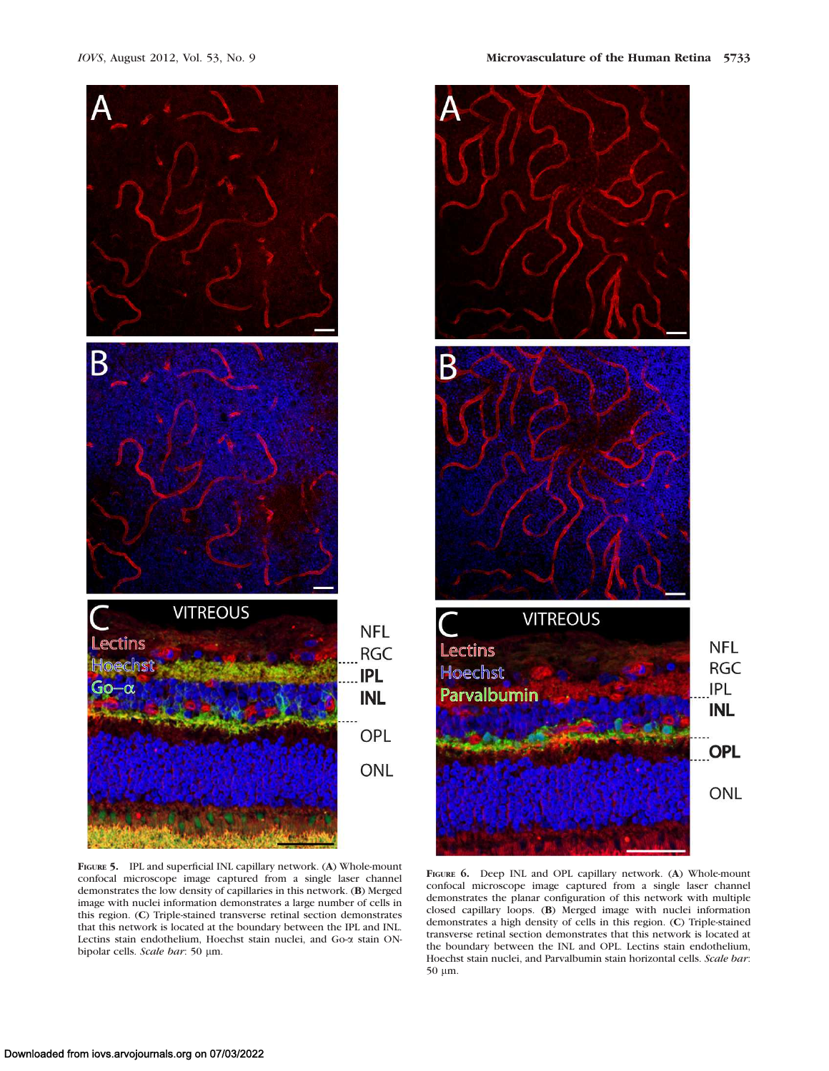![](_page_5_Figure_2.jpeg)

![](_page_5_Figure_3.jpeg)

FIGURE 5. IPL and superficial INL capillary network. (A) Whole-mount confocal microscope image captured from a single laser channel demonstrates the low density of capillaries in this network. (B) Merged image with nuclei information demonstrates a large number of cells in this region. (C) Triple-stained transverse retinal section demonstrates that this network is located at the boundary between the IPL and INL. Lectins stain endothelium, Hoechst stain nuclei, and Go-a stain ONbipolar cells. Scale bar: 50 µm.

FIGURE 6. Deep INL and OPL capillary network. (A) Whole-mount confocal microscope image captured from a single laser channel demonstrates the planar configuration of this network with multiple closed capillary loops. (B) Merged image with nuclei information demonstrates a high density of cells in this region. (C) Triple-stained transverse retinal section demonstrates that this network is located at the boundary between the INL and OPL. Lectins stain endothelium, Hoechst stain nuclei, and Parvalbumin stain horizontal cells. Scale bar: 50 µm.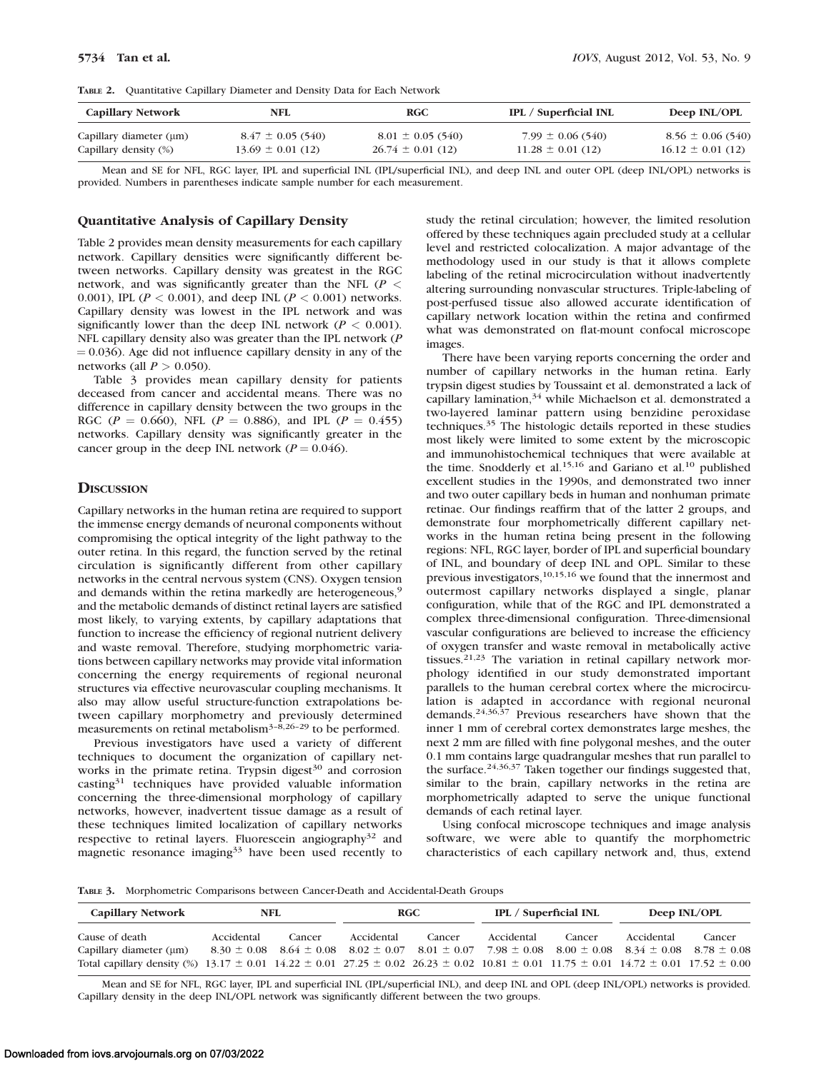TABLE 2. Quantitative Capillary Diameter and Density Data for Each Network

| <b>Capillary Network</b>     | NFL                   | <b>RGC</b>            | <b>IPL</b> / Superficial INL | Deep INL/OPL          |
|------------------------------|-----------------------|-----------------------|------------------------------|-----------------------|
| Capillary diameter $(\mu m)$ | $8.47 \pm 0.05$ (540) | $8.01 \pm 0.05$ (540) | $7.99 \pm 0.06$ (540)        | $8.56 \pm 0.06$ (540) |
| Capillary density (%)        | $13.69 \pm 0.01$ (12) | $26.74 \pm 0.01$ (12) | $11.28 \pm 0.01$ (12)        | $16.12 \pm 0.01$ (12) |

Mean and SE for NFL, RGC layer, IPL and superficial INL (IPL/superficial INL), and deep INL and outer OPL (deep INL/OPL) networks is provided. Numbers in parentheses indicate sample number for each measurement.

#### Quantitative Analysis of Capillary Density

Table 2 provides mean density measurements for each capillary network. Capillary densities were significantly different between networks. Capillary density was greatest in the RGC network, and was significantly greater than the NFL ( $P <$ 0.001), IPL ( $P < 0.001$ ), and deep INL ( $P < 0.001$ ) networks. Capillary density was lowest in the IPL network and was significantly lower than the deep INL network ( $P < 0.001$ ). NFL capillary density also was greater than the IPL network (P  $(0.036)$ . Age did not influence capillary density in any of the networks (all  $P > 0.050$ ).

Table 3 provides mean capillary density for patients deceased from cancer and accidental means. There was no difference in capillary density between the two groups in the RGC ( $P = 0.660$ ), NFL ( $P = 0.886$ ), and IPL ( $P = 0.455$ ) networks. Capillary density was significantly greater in the cancer group in the deep INL network ( $P = 0.046$ ).

# **DISCUSSION**

Capillary networks in the human retina are required to support the immense energy demands of neuronal components without compromising the optical integrity of the light pathway to the outer retina. In this regard, the function served by the retinal circulation is significantly different from other capillary networks in the central nervous system (CNS). Oxygen tension and demands within the retina markedly are heterogeneous,<sup>9</sup> and the metabolic demands of distinct retinal layers are satisfied most likely, to varying extents, by capillary adaptations that function to increase the efficiency of regional nutrient delivery and waste removal. Therefore, studying morphometric variations between capillary networks may provide vital information concerning the energy requirements of regional neuronal structures via effective neurovascular coupling mechanisms. It also may allow useful structure-function extrapolations between capillary morphometry and previously determined measurements on retinal metabolism<sup>3–8,26–29</sup> to be performed.

Previous investigators have used a variety of different techniques to document the organization of capillary networks in the primate retina. Trypsin digest<sup>30</sup> and corrosion casting<sup>31</sup> techniques have provided valuable information concerning the three-dimensional morphology of capillary networks, however, inadvertent tissue damage as a result of these techniques limited localization of capillary networks respective to retinal layers. Fluorescein angiography<sup>32</sup> and magnetic resonance imaging $33$  have been used recently to

study the retinal circulation; however, the limited resolution offered by these techniques again precluded study at a cellular level and restricted colocalization. A major advantage of the methodology used in our study is that it allows complete labeling of the retinal microcirculation without inadvertently altering surrounding nonvascular structures. Triple-labeling of post-perfused tissue also allowed accurate identification of capillary network location within the retina and confirmed what was demonstrated on flat-mount confocal microscope images.

There have been varying reports concerning the order and number of capillary networks in the human retina. Early trypsin digest studies by Toussaint et al. demonstrated a lack of capillary lamination,  $34$  while Michaelson et al. demonstrated a two-layered laminar pattern using benzidine peroxidase techniques.<sup>35</sup> The histologic details reported in these studies most likely were limited to some extent by the microscopic and immunohistochemical techniques that were available at the time. Snodderly et al.<sup>15,16</sup> and Gariano et al.<sup>10</sup> published excellent studies in the 1990s, and demonstrated two inner and two outer capillary beds in human and nonhuman primate retinae. Our findings reaffirm that of the latter 2 groups, and demonstrate four morphometrically different capillary networks in the human retina being present in the following regions: NFL, RGC layer, border of IPL and superficial boundary of INL, and boundary of deep INL and OPL. Similar to these previous investigators,10,15,16 we found that the innermost and outermost capillary networks displayed a single, planar configuration, while that of the RGC and IPL demonstrated a complex three-dimensional configuration. Three-dimensional vascular configurations are believed to increase the efficiency of oxygen transfer and waste removal in metabolically active tissues.21,23 The variation in retinal capillary network morphology identified in our study demonstrated important parallels to the human cerebral cortex where the microcirculation is adapted in accordance with regional neuronal demands.24,36,37 Previous researchers have shown that the inner 1 mm of cerebral cortex demonstrates large meshes, the next 2 mm are filled with fine polygonal meshes, and the outer 0.1 mm contains large quadrangular meshes that run parallel to the surface.24,36,37 Taken together our findings suggested that, similar to the brain, capillary networks in the retina are morphometrically adapted to serve the unique functional demands of each retinal layer.

Using confocal microscope techniques and image analysis software, we were able to quantify the morphometric characteristics of each capillary network and, thus, extend

TABLE 3. Morphometric Comparisons between Cancer-Death and Accidental-Death Groups

| <b>Capillary Network</b>                                                                                                                                            | NFL        |        | RGC                                                                                                                             |        | <b>IPL</b> / Superficial INL |        | Deep INL/OPL |        |
|---------------------------------------------------------------------------------------------------------------------------------------------------------------------|------------|--------|---------------------------------------------------------------------------------------------------------------------------------|--------|------------------------------|--------|--------------|--------|
| Cause of death                                                                                                                                                      | Accidental | Cancer | Accidental                                                                                                                      | Cancer | Accidental                   | Cancer | Accidental   | Cancer |
| Capillary diameter $(\mu m)$                                                                                                                                        |            |        | $8.30 \pm 0.08$ $8.64 \pm 0.08$ $8.02 \pm 0.07$ $8.01 \pm 0.07$ $7.98 \pm 0.08$ $8.00 \pm 0.08$ $8.34 \pm 0.08$ $8.78 \pm 0.08$ |        |                              |        |              |        |
| Total capillary density (%) $13.17 \pm 0.01$ $14.22 \pm 0.01$ $27.25 \pm 0.02$ $26.23 \pm 0.02$ $10.81 \pm 0.01$ $11.75 \pm 0.01$ $14.72 \pm 0.01$ $17.52 \pm 0.00$ |            |        |                                                                                                                                 |        |                              |        |              |        |

Mean and SE for NFL, RGC layer, IPL and superficial INL (IPL/superficial INL), and deep INL and OPL (deep INL/OPL) networks is provided. Capillary density in the deep INL/OPL network was significantly different between the two groups.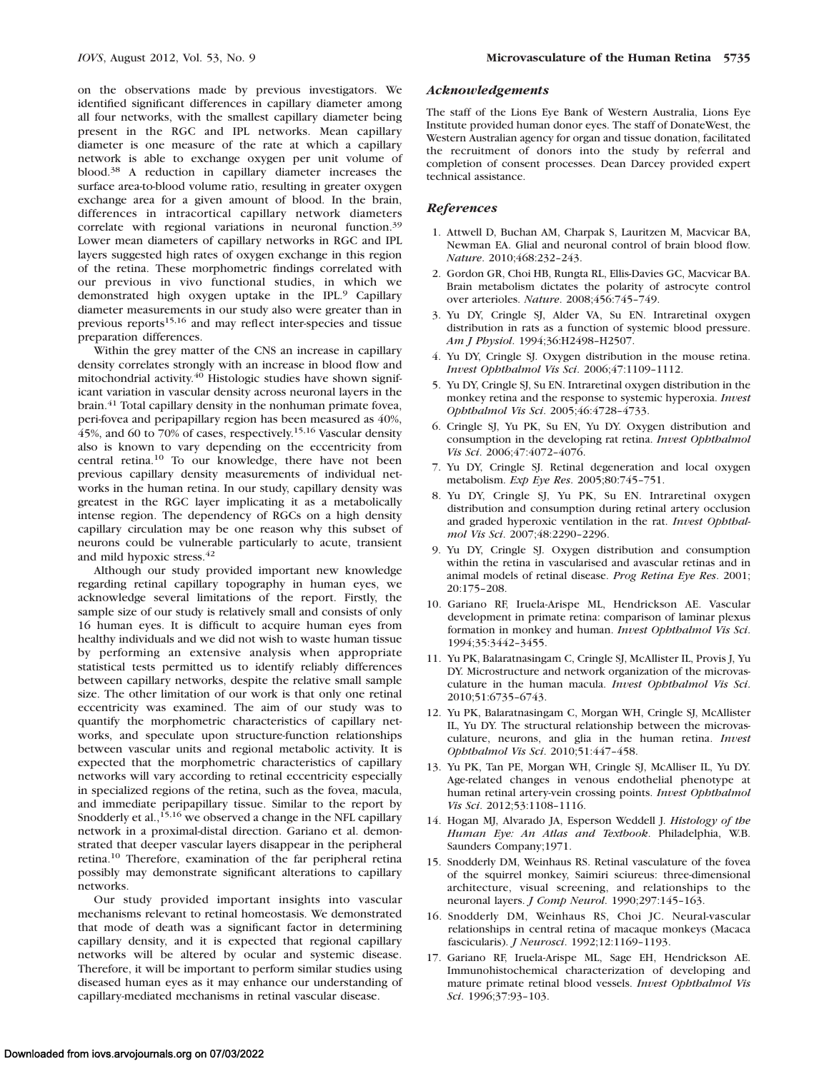on the observations made by previous investigators. We identified significant differences in capillary diameter among all four networks, with the smallest capillary diameter being present in the RGC and IPL networks. Mean capillary diameter is one measure of the rate at which a capillary network is able to exchange oxygen per unit volume of blood.<sup>38</sup> A reduction in capillary diameter increases the surface area-to-blood volume ratio, resulting in greater oxygen exchange area for a given amount of blood. In the brain, differences in intracortical capillary network diameters correlate with regional variations in neuronal function.<sup>39</sup> Lower mean diameters of capillary networks in RGC and IPL layers suggested high rates of oxygen exchange in this region of the retina. These morphometric findings correlated with our previous in vivo functional studies, in which we demonstrated high oxygen uptake in the IPL.<sup>9</sup> Capillary diameter measurements in our study also were greater than in previous reports<sup>15,16</sup> and may reflect inter-species and tissue preparation differences.

Within the grey matter of the CNS an increase in capillary density correlates strongly with an increase in blood flow and mitochondrial activity.40 Histologic studies have shown significant variation in vascular density across neuronal layers in the brain.<sup>41</sup> Total capillary density in the nonhuman primate fovea, peri-fovea and peripapillary region has been measured as 40%, 45%, and 60 to 70% of cases, respectively.15,16 Vascular density also is known to vary depending on the eccentricity from central retina.<sup>10</sup> To our knowledge, there have not been previous capillary density measurements of individual networks in the human retina. In our study, capillary density was greatest in the RGC layer implicating it as a metabolically intense region. The dependency of RGCs on a high density capillary circulation may be one reason why this subset of neurons could be vulnerable particularly to acute, transient and mild hypoxic stress.<sup>42</sup>

Although our study provided important new knowledge regarding retinal capillary topography in human eyes, we acknowledge several limitations of the report. Firstly, the sample size of our study is relatively small and consists of only 16 human eyes. It is difficult to acquire human eyes from healthy individuals and we did not wish to waste human tissue by performing an extensive analysis when appropriate statistical tests permitted us to identify reliably differences between capillary networks, despite the relative small sample size. The other limitation of our work is that only one retinal eccentricity was examined. The aim of our study was to quantify the morphometric characteristics of capillary networks, and speculate upon structure-function relationships between vascular units and regional metabolic activity. It is expected that the morphometric characteristics of capillary networks will vary according to retinal eccentricity especially in specialized regions of the retina, such as the fovea, macula, and immediate peripapillary tissue. Similar to the report by Snodderly et al., $15,16$  we observed a change in the NFL capillary network in a proximal-distal direction. Gariano et al. demonstrated that deeper vascular layers disappear in the peripheral retina.<sup>10</sup> Therefore, examination of the far peripheral retina possibly may demonstrate significant alterations to capillary networks.

Our study provided important insights into vascular mechanisms relevant to retinal homeostasis. We demonstrated that mode of death was a significant factor in determining capillary density, and it is expected that regional capillary networks will be altered by ocular and systemic disease. Therefore, it will be important to perform similar studies using diseased human eyes as it may enhance our understanding of capillary-mediated mechanisms in retinal vascular disease.

#### Acknowledgements

The staff of the Lions Eye Bank of Western Australia, Lions Eye Institute provided human donor eyes. The staff of DonateWest, the Western Australian agency for organ and tissue donation, facilitated the recruitment of donors into the study by referral and completion of consent processes. Dean Darcey provided expert technical assistance.

# References

- 1. Attwell D, Buchan AM, Charpak S, Lauritzen M, Macvicar BA, Newman EA. Glial and neuronal control of brain blood flow. Nature. 2010;468:232–243.
- 2. Gordon GR, Choi HB, Rungta RL, Ellis-Davies GC, Macvicar BA. Brain metabolism dictates the polarity of astrocyte control over arterioles. Nature. 2008;456:745–749.
- 3. Yu DY, Cringle SJ, Alder VA, Su EN. Intraretinal oxygen distribution in rats as a function of systemic blood pressure. Am J Physiol. 1994;36:H2498–H2507.
- 4. Yu DY, Cringle SJ. Oxygen distribution in the mouse retina. Invest Ophthalmol Vis Sci. 2006;47:1109–1112.
- 5. Yu DY, Cringle SJ, Su EN. Intraretinal oxygen distribution in the monkey retina and the response to systemic hyperoxia. Invest Ophthalmol Vis Sci. 2005;46:4728–4733.
- 6. Cringle SJ, Yu PK, Su EN, Yu DY. Oxygen distribution and consumption in the developing rat retina. Invest Ophthalmol Vis Sci. 2006;47:4072–4076.
- 7. Yu DY, Cringle SJ. Retinal degeneration and local oxygen metabolism. Exp Eye Res. 2005;80:745–751.
- 8. Yu DY, Cringle SJ, Yu PK, Su EN. Intraretinal oxygen distribution and consumption during retinal artery occlusion and graded hyperoxic ventilation in the rat. Invest Ophthalmol Vis Sci. 2007;48:2290–2296.
- 9. Yu DY, Cringle SJ. Oxygen distribution and consumption within the retina in vascularised and avascular retinas and in animal models of retinal disease. Prog Retina Eye Res. 2001; 20:175–208.
- 10. Gariano RF, Iruela-Arispe ML, Hendrickson AE. Vascular development in primate retina: comparison of laminar plexus formation in monkey and human. Invest Ophthalmol Vis Sci. 1994;35:3442–3455.
- 11. Yu PK, Balaratnasingam C, Cringle SJ, McAllister IL, Provis J, Yu DY. Microstructure and network organization of the microvasculature in the human macula. Invest Ophthalmol Vis Sci. 2010;51:6735–6743.
- 12. Yu PK, Balaratnasingam C, Morgan WH, Cringle SJ, McAllister IL, Yu DY. The structural relationship between the microvasculature, neurons, and glia in the human retina. Invest Ophthalmol Vis Sci. 2010;51:447–458.
- 13. Yu PK, Tan PE, Morgan WH, Cringle SJ, McAlliser IL, Yu DY. Age-related changes in venous endothelial phenotype at human retinal artery-vein crossing points. Invest Ophthalmol Vis Sci. 2012;53:1108–1116.
- 14. Hogan MJ, Alvarado JA, Esperson Weddell J. Histology of the Human Eye: An Atlas and Textbook. Philadelphia, W.B. Saunders Company;1971.
- 15. Snodderly DM, Weinhaus RS. Retinal vasculature of the fovea of the squirrel monkey, Saimiri sciureus: three-dimensional architecture, visual screening, and relationships to the neuronal layers. J Comp Neurol. 1990;297:145–163.
- 16. Snodderly DM, Weinhaus RS, Choi JC. Neural-vascular relationships in central retina of macaque monkeys (Macaca fascicularis). J Neurosci. 1992;12:1169–1193.
- 17. Gariano RF, Iruela-Arispe ML, Sage EH, Hendrickson AE. Immunohistochemical characterization of developing and mature primate retinal blood vessels. Invest Ophthalmol Vis Sci. 1996;37:93–103.